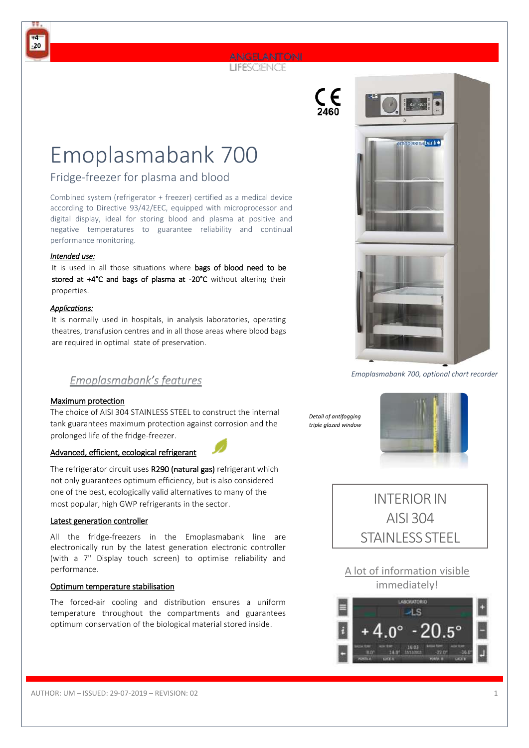# LIFESCIENCE

Emoplasmabank 700

# Fridge-freezer for plasma and blood

Combined system (refrigerator + freezer) certified as a medical device according to Directive 93/42/EEC, equipped with microprocessor and digital display, ideal for storing blood and plasma at positive and negative temperatures to guarantee reliability and continual performance monitoring.

#### *Intended use:*

**+4 -20**

> It is used in all those situations where bags of blood need to be stored at +4°C and bags of plasma at -20°C without altering their properties.

#### *Applications:*

It is normally used in hospitals, in analysis laboratories, operating theatres, transfusion centres and in all those areas where blood bags are required in optimal state of preservation.



*Emoplasmabank 700, optional chart recorder* 

### Emoplasmabank's features

#### Maximum protection

The choice of AISI 304 STAINLESS STEEL to construct the internal tank guarantees maximum protection against corrosion and the prolonged life of the fridge-freezer.

#### Advanced, efficient, ecological refrigerant

The refrigerator circuit uses R290 (natural gas) refrigerant which not only guarantees optimum efficiency, but is also considered one of the best, ecologically valid alternatives to many of the most popular, high GWP refrigerants in the sector.

#### Latest generation controller

All the fridge-freezers in the Emoplasmabank line are electronically run by the latest generation electronic controller (with a 7" Display touch screen) to optimise reliability and performance.

#### Optimum temperature stabilisation

The forced-air cooling and distribution ensures a uniform temperature throughout the compartments and guarantees optimum conservation of the biological material stored inside.

*Detail of antifogging triple glazed window* 







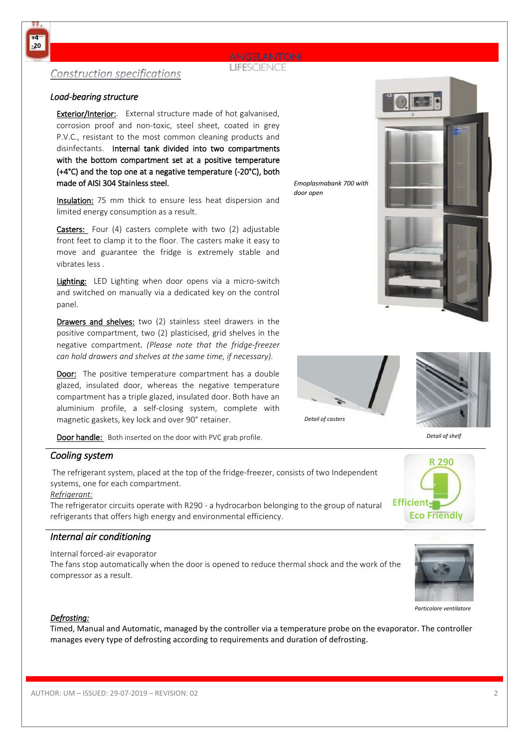# **LIFESCIENCE**

# **Construction specifications**

### *Load-bearing structure*

Exterior/Interior: External structure made of hot galvanised, corrosion proof and non-toxic, steel sheet, coated in grey P.V.C., resistant to the most common cleaning products and disinfectants. Internal tank divided into two compartments with the bottom compartment set at a positive temperature (+4°C) and the top one at a negative temperature (-20°C), both made of AISI 304 Stainless steel.

Insulation: 75 mm thick to ensure less heat dispersion and limited energy consumption as a result.

Casters: Four (4) casters complete with two (2) adjustable front feet to clamp it to the floor. The casters make it easy to move and guarantee the fridge is extremely stable and vibrates less .

Lighting: LED Lighting when door opens via a micro-switch and switched on manually via a dedicated key on the control panel.

Drawers and shelves: two (2) stainless steel drawers in the positive compartment, two (2) plasticised, grid shelves in the negative compartment. *(Please note that the fridge-freezer can hold drawers and shelves at the same time, if necessary).*

Door: The positive temperature compartment has a double glazed, insulated door, whereas the negative temperature compartment has a triple glazed, insulated door. Both have an aluminium profile, a self-closing system, complete with magnetic gaskets, key lock and over 90° retainer.

Door handle: Both inserted on the door with PVC grab profile.

## *Cooling system*

The refrigerant system, placed at the top of the fridge-freezer, consists of two Independent systems, one for each compartment.

### *Refrigerant:*

The refrigerator circuits operate with R290 - a hydrocarbon belonging to the group of natural refrigerants that offers high energy and environmental efficiency.

# *Internal air conditioning*

Internal forced-air evaporator

The fans stop automatically when the door is opened to reduce thermal shock and the work of the compressor as a result.



*Particolare ventilatore* 



Timed, Manual and Automatic, managed by the controller via a temperature probe on the evaporator. The controller manages every type of defrosting according to requirements and duration of defrosting.

*Emoplasmabank 700 with door open* 

*Detail of casters*





*Detail of shelf* 

**R 290**

 **Eco Friendly** 

**Efficient** 



**+4 -20**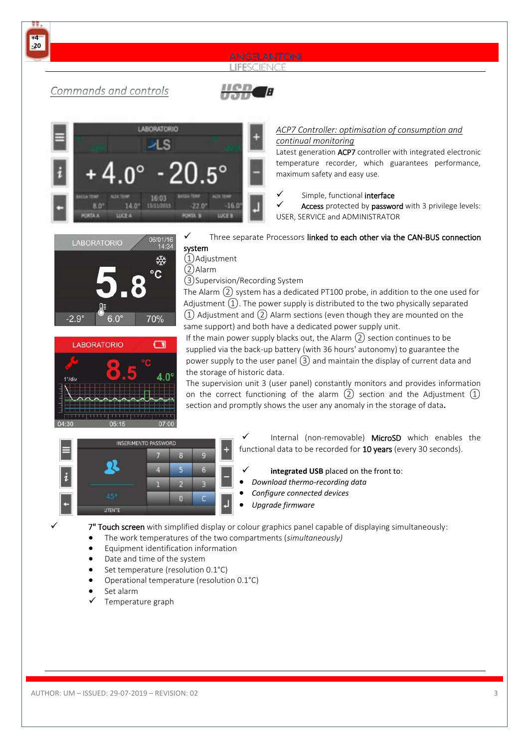







#### *ACP7 Controller: optimisation of consumption and continual monitoring*

Latest generation ACP7 controller with integrated electronic temperature recorder, which guarantees performance, maximum safety and easy use.

Simple, functional interface

Access protected by password with 3 privilege levels: USER, SERVICE and ADMINISTRATOR





Three separate Processors linked to each other via the CAN-BUS connection

system ①Adjustment

②Alarm

③Supervision/Recording System

The Alarm  $(2)$  system has a dedicated PT100 probe, in addition to the one used for Adjustment  $(1)$ . The power supply is distributed to the two physically separated  $\Omega$ ) Adjustment and  $\Omega$ ) Alarm sections (even though they are mounted on the same support) and both have a dedicated power supply unit.

If the main power supply blacks out, the Alarm  $(2)$  section continues to be supplied via the back-up battery (with 36 hours' autonomy) to guarantee the power supply to the user panel ③ and maintain the display of current data and the storage of historic data.

The supervision unit 3 (user panel) constantly monitors and provides information on the correct functioning of the alarm  $(2)$  section and the Adjustment  $(1)$ section and promptly shows the user any anomaly in the storage of data**.**



Internal (non-removable) MicroSD which enables the functional data to be recorded for 10 years (every 30 seconds).

- integrated USB placed on the front to:
- *Download thermo-recording data*
- *Configure connected devices*
- *Upgrade firmware*
- 7" Touch screen with simplified display or colour graphics panel capable of displaying simultaneously:
- The work temperatures of the two compartments (*simultaneously)*
- Equipment identification information
- Date and time of the system
- Set temperature (resolution 0.1°C)
- Operational temperature (resolution 0.1°C)
- Set alarm
- Temperature graph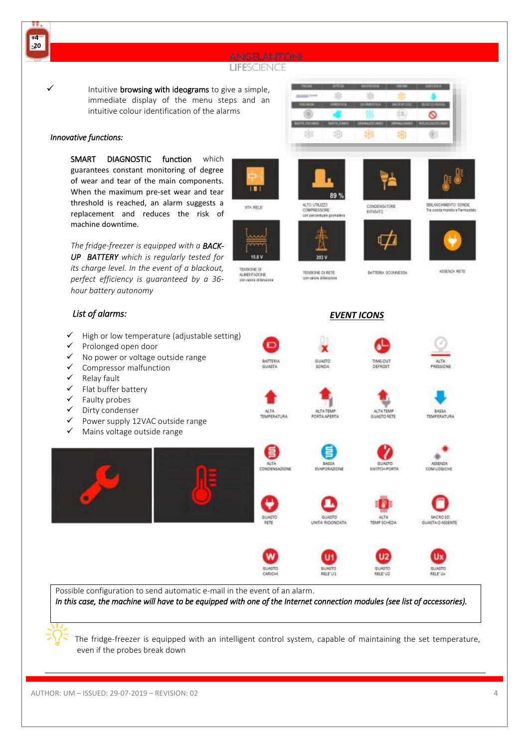

The fridge-freezer is equipped with an intelligent control system, capable of maintaining the set temperature, even if the probes break down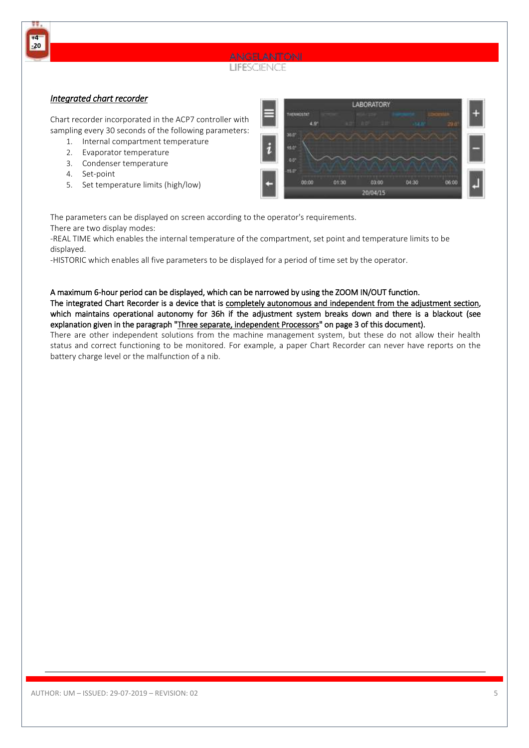

### *Integrated chart recorder*

**+4 -20**

> Chart recorder incorporated in the ACP7 controller with sampling every 30 seconds of the following parameters:

- 1. Internal compartment temperature
- 2. Evaporator temperature
- 3. Condenser temperature
- 4. Set-point
- 5. Set temperature limits (high/low)



The parameters can be displayed on screen according to the operator's requirements. There are two display modes:

-REAL TIME which enables the internal temperature of the compartment, set point and temperature limits to be displayed.

-HISTORIC which enables all five parameters to be displayed for a period of time set by the operator.

#### A maximum 6-hour period can be displayed, which can be narrowed by using the ZOOM IN/OUT function.

The integrated Chart Recorder is a device that is completely autonomous and independent from the adjustment section, which maintains operational autonomy for 36h if the adjustment system breaks down and there is a blackout (see explanation given in the paragraph "Three separate, independent Processors" on page 3 of this document).

There are other independent solutions from the machine management system, but these do not allow their health status and correct functioning to be monitored. For example, a paper Chart Recorder can never have reports on the battery charge level or the malfunction of a nib.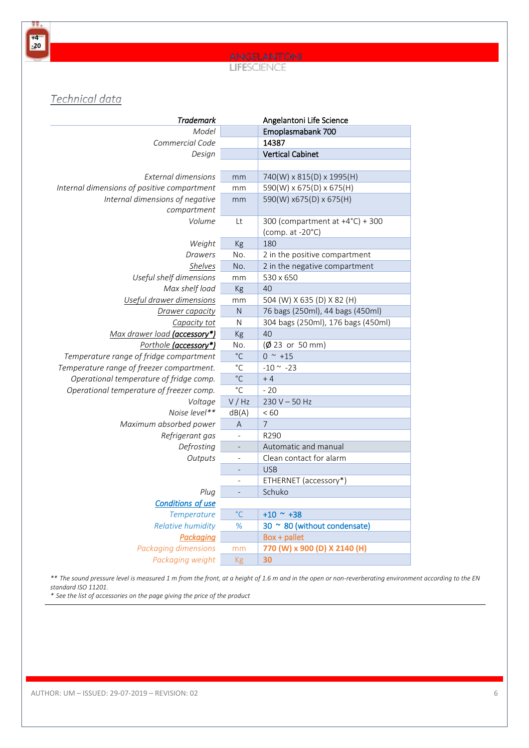**+4 -20**

# **LIFESCIENCE**

# Technical data

| <b>Trademark</b>                            |                          | Angelantoni Life Science                                      |  |  |
|---------------------------------------------|--------------------------|---------------------------------------------------------------|--|--|
| Model                                       |                          | Emoplasmabank 700                                             |  |  |
| Commercial Code                             |                          | 14387                                                         |  |  |
| Design                                      |                          | <b>Vertical Cabinet</b>                                       |  |  |
|                                             |                          |                                                               |  |  |
| <b>External dimensions</b>                  | mm                       | 740(W) x 815(D) x 1995(H)                                     |  |  |
| Internal dimensions of positive compartment | mm                       | 590(W) x 675(D) x 675(H)                                      |  |  |
| Internal dimensions of negative             | mm                       | 590(W) x675(D) x 675(H)                                       |  |  |
| compartment                                 |                          |                                                               |  |  |
| Volume                                      | Lt                       | 300 (compartment at +4°C) + 300<br>(comp. at $-20^{\circ}$ C) |  |  |
| Weight                                      | Kg                       | 180                                                           |  |  |
| Drawers                                     | No.                      | 2 in the positive compartment                                 |  |  |
| Shelves                                     | No.                      | 2 in the negative compartment                                 |  |  |
| Useful shelf dimensions                     | mm                       | 530 x 650                                                     |  |  |
| Max shelf load                              | Kg                       | 40                                                            |  |  |
| Useful drawer dimensions                    | mm                       | 504 (W) X 635 (D) X 82 (H)                                    |  |  |
| Drawer capacity                             | N                        | 76 bags (250ml), 44 bags (450ml)                              |  |  |
| Capacity tot                                | ${\sf N}$                | 304 bags (250ml), 176 bags (450ml)                            |  |  |
| Max drawer load (accessory*)                | Kg                       | 40                                                            |  |  |
| Porthole (accessory*)                       | No.                      | $(\phi$ 23 or 50 mm)                                          |  |  |
| Temperature range of fridge compartment     | $^{\circ}$ C             | $0^{\sim}+15$                                                 |  |  |
| Temperature range of freezer compartment.   | $^{\circ}$ C             | $-10$ $\sim$ $-23$                                            |  |  |
| Operational temperature of fridge comp.     | $^{\circ}$ C             | $+4$                                                          |  |  |
| Operational temperature of freezer comp.    | $^{\circ}$ C             | $-20$                                                         |  |  |
| Voltage                                     | V / Hz                   | $230 V - 50 Hz$                                               |  |  |
| Noise level**                               | dB(A)                    | < 60                                                          |  |  |
| Maximum absorbed power                      | A                        | $\overline{7}$                                                |  |  |
| Refrigerant gas                             | $\overline{\phantom{a}}$ | R290                                                          |  |  |
| Defrosting                                  |                          | Automatic and manual                                          |  |  |
| Outputs                                     | $\frac{1}{2}$            | Clean contact for alarm                                       |  |  |
|                                             |                          | <b>USB</b>                                                    |  |  |
|                                             |                          | ETHERNET (accessory*)                                         |  |  |
| Plug                                        | $\overline{a}$           | Schuko                                                        |  |  |
| <b>Conditions of use</b>                    |                          |                                                               |  |  |
| Temperature                                 | $\degree$ C              | $+10$ ~ $+38$                                                 |  |  |
| <b>Relative humidity</b>                    | %                        | 30 ~ 80 (without condensate)                                  |  |  |
| Packaging                                   |                          | Box + pallet                                                  |  |  |
| <b>Packaging dimensions</b>                 | mm                       | 770 (W) x 900 (D) X 2140 (H)                                  |  |  |
| Packaging weight                            | Kg                       | 30                                                            |  |  |

*\*\* The sound pressure level is measured 1 m from the front, at a height of 1.6 m and in the open or non-reverberating environment according to the EN standard ISO 11201.* 

*\* See the list of accessories on the page giving the price of the product*